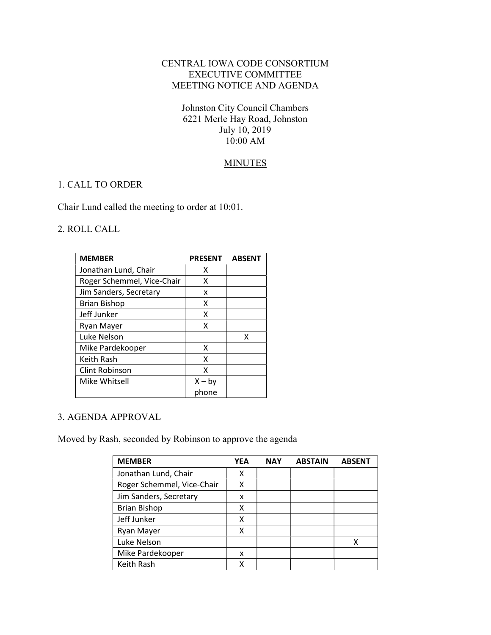# CENTRAL IOWA CODE CONSORTIUM EXECUTIVE COMMITTEE MEETING NOTICE AND AGENDA

Johnston City Council Chambers 6221 Merle Hay Road, Johnston July 10, 2019 10:00 AM

## **MINUTES**

#### 1. CALL TO ORDER

Chair Lund called the meeting to order at 10:01.

## 2. ROLL CALL

| <b>MEMBER</b>              | <b>PRESENT</b> | <b>ABSENT</b> |
|----------------------------|----------------|---------------|
| Jonathan Lund, Chair       | x              |               |
| Roger Schemmel, Vice-Chair | x              |               |
| Jim Sanders, Secretary     | x              |               |
| <b>Brian Bishop</b>        | x              |               |
| Jeff Junker                | x              |               |
| Ryan Mayer                 | x              |               |
| Luke Nelson                |                | x             |
| Mike Pardekooper           | x              |               |
| Keith Rash                 | x              |               |
| Clint Robinson             | x              |               |
| Mike Whitsell              | $X - by$       |               |
|                            | phone          |               |

#### 3. AGENDA APPROVAL

Moved by Rash, seconded by Robinson to approve the agenda

| <b>MEMBER</b>              | <b>YEA</b> | <b>NAY</b> | <b>ABSTAIN</b> | <b>ABSENT</b> |
|----------------------------|------------|------------|----------------|---------------|
| Jonathan Lund, Chair       | х          |            |                |               |
| Roger Schemmel, Vice-Chair | X          |            |                |               |
| Jim Sanders, Secretary     | x          |            |                |               |
| <b>Brian Bishop</b>        | х          |            |                |               |
| Jeff Junker                | x          |            |                |               |
| Ryan Mayer                 | χ          |            |                |               |
| Luke Nelson                |            |            |                |               |
| Mike Pardekooper           | x          |            |                |               |
| Keith Rash                 | χ          |            |                |               |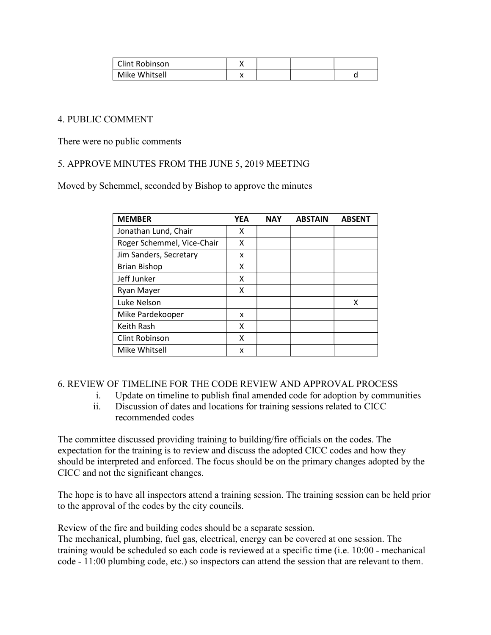| Clint Robinson |  |  |
|----------------|--|--|
| Mike Whitsell  |  |  |

## 4. PUBLIC COMMENT

There were no public comments

## 5. APPROVE MINUTES FROM THE JUNE 5, 2019 MEETING

Moved by Schemmel, seconded by Bishop to approve the minutes

| <b>MEMBER</b>              | <b>YEA</b> | <b>NAY</b> | <b>ABSTAIN</b> | <b>ABSENT</b> |
|----------------------------|------------|------------|----------------|---------------|
| Jonathan Lund, Chair       | x          |            |                |               |
| Roger Schemmel, Vice-Chair | x          |            |                |               |
| Jim Sanders, Secretary     | x          |            |                |               |
| <b>Brian Bishop</b>        | x          |            |                |               |
| Jeff Junker                | x          |            |                |               |
| Ryan Mayer                 | x          |            |                |               |
| Luke Nelson                |            |            |                | x             |
| Mike Pardekooper           | x          |            |                |               |
| Keith Rash                 | x          |            |                |               |
| <b>Clint Robinson</b>      | x          |            |                |               |
| Mike Whitsell              | x          |            |                |               |

#### 6. REVIEW OF TIMELINE FOR THE CODE REVIEW AND APPROVAL PROCESS

- i. Update on timeline to publish final amended code for adoption by communities
- ii. Discussion of dates and locations for training sessions related to CICC recommended codes

The committee discussed providing training to building/fire officials on the codes. The expectation for the training is to review and discuss the adopted CICC codes and how they should be interpreted and enforced. The focus should be on the primary changes adopted by the CICC and not the significant changes.

The hope is to have all inspectors attend a training session. The training session can be held prior to the approval of the codes by the city councils.

Review of the fire and building codes should be a separate session.

The mechanical, plumbing, fuel gas, electrical, energy can be covered at one session. The training would be scheduled so each code is reviewed at a specific time (i.e. 10:00 - mechanical code - 11:00 plumbing code, etc.) so inspectors can attend the session that are relevant to them.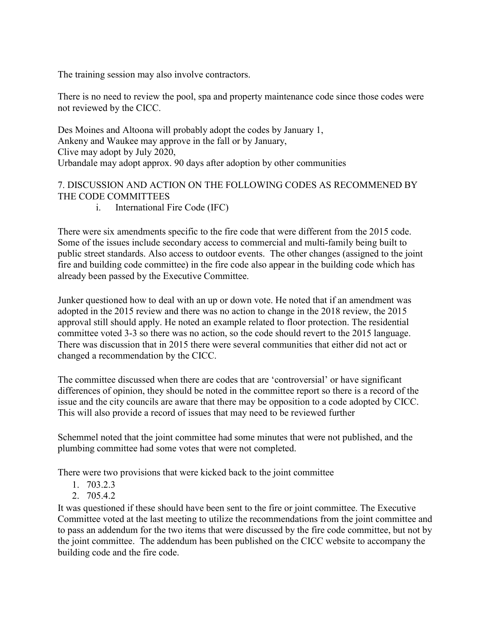The training session may also involve contractors.

There is no need to review the pool, spa and property maintenance code since those codes were not reviewed by the CICC.

Des Moines and Altoona will probably adopt the codes by January 1, Ankeny and Waukee may approve in the fall or by January, Clive may adopt by July 2020, Urbandale may adopt approx. 90 days after adoption by other communities

# 7. DISCUSSION AND ACTION ON THE FOLLOWING CODES AS RECOMMENED BY THE CODE COMMITTEES

i. International Fire Code (IFC)

There were six amendments specific to the fire code that were different from the 2015 code. Some of the issues include secondary access to commercial and multi-family being built to public street standards. Also access to outdoor events. The other changes (assigned to the joint fire and building code committee) in the fire code also appear in the building code which has already been passed by the Executive Committee.

Junker questioned how to deal with an up or down vote. He noted that if an amendment was adopted in the 2015 review and there was no action to change in the 2018 review, the 2015 approval still should apply. He noted an example related to floor protection. The residential committee voted 3-3 so there was no action, so the code should revert to the 2015 language. There was discussion that in 2015 there were several communities that either did not act or changed a recommendation by the CICC.

The committee discussed when there are codes that are 'controversial' or have significant differences of opinion, they should be noted in the committee report so there is a record of the issue and the city councils are aware that there may be opposition to a code adopted by CICC. This will also provide a record of issues that may need to be reviewed further

Schemmel noted that the joint committee had some minutes that were not published, and the plumbing committee had some votes that were not completed.

There were two provisions that were kicked back to the joint committee

- 1. 703.2.3
- 2. 705.4.2

It was questioned if these should have been sent to the fire or joint committee. The Executive Committee voted at the last meeting to utilize the recommendations from the joint committee and to pass an addendum for the two items that were discussed by the fire code committee, but not by the joint committee. The addendum has been published on the CICC website to accompany the building code and the fire code.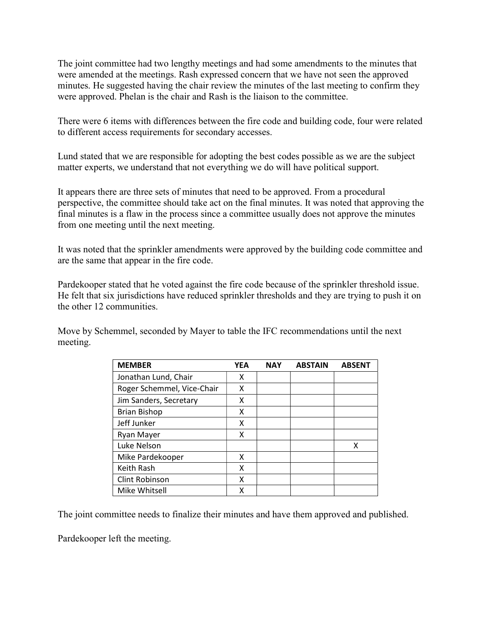The joint committee had two lengthy meetings and had some amendments to the minutes that were amended at the meetings. Rash expressed concern that we have not seen the approved minutes. He suggested having the chair review the minutes of the last meeting to confirm they were approved. Phelan is the chair and Rash is the liaison to the committee.

There were 6 items with differences between the fire code and building code, four were related to different access requirements for secondary accesses.

Lund stated that we are responsible for adopting the best codes possible as we are the subject matter experts, we understand that not everything we do will have political support.

It appears there are three sets of minutes that need to be approved. From a procedural perspective, the committee should take act on the final minutes. It was noted that approving the final minutes is a flaw in the process since a committee usually does not approve the minutes from one meeting until the next meeting.

It was noted that the sprinkler amendments were approved by the building code committee and are the same that appear in the fire code.

Pardekooper stated that he voted against the fire code because of the sprinkler threshold issue. He felt that six jurisdictions have reduced sprinkler thresholds and they are trying to push it on the other 12 communities.

Move by Schemmel, seconded by Mayer to table the IFC recommendations until the next meeting.

| <b>MEMBER</b>              | <b>YEA</b> | <b>NAY</b> | <b>ABSTAIN</b> | <b>ABSENT</b> |
|----------------------------|------------|------------|----------------|---------------|
| Jonathan Lund, Chair       | x          |            |                |               |
| Roger Schemmel, Vice-Chair | x          |            |                |               |
| Jim Sanders, Secretary     | x          |            |                |               |
| <b>Brian Bishop</b>        | x          |            |                |               |
| Jeff Junker                | χ          |            |                |               |
| Ryan Mayer                 | x          |            |                |               |
| Luke Nelson                |            |            |                | x             |
| Mike Pardekooper           | x          |            |                |               |
| Keith Rash                 | x          |            |                |               |
| Clint Robinson             | χ          |            |                |               |
| Mike Whitsell              | х          |            |                |               |

The joint committee needs to finalize their minutes and have them approved and published.

Pardekooper left the meeting.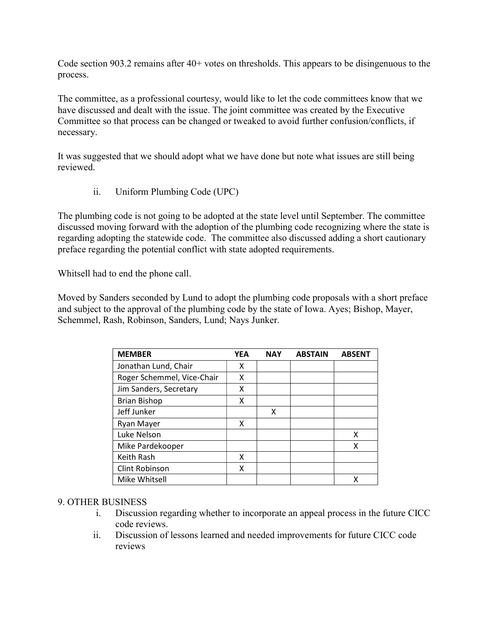Code section 903.2 remains after 40+ votes on thresholds. This appears to be disingenuous to the process.

The committee, as a professional courtesy, would like to let the code committees know that we have discussed and dealt with the issue. The joint committee was created by the Executive Committee so that process can be changed or tweaked to avoid further confusion/conflicts, if necessary.

It was suggested that we should adopt what we have done but note what issues are still being reviewed.

ii. Uniform Plumbing Code (UPC)

The plumbing code is not going to be adopted at the state level until September. The committee discussed moving forward with the adoption of the plumbing code recognizing where the state is regarding adopting the statewide code. The committee also discussed adding a short cautionary preface regarding the potential conflict with state adopted requirements.

Whitsell had to end the phone call.

Moved by Sanders seconded by Lund to adopt the plumbing code proposals with a short preface and subject to the approval of the plumbing code by the state of Iowa. Ayes; Bishop, Mayer, Schemmel, Rash, Robinson, Sanders, Lund; Nays Junker.

| <b>MEMBER</b>              | <b>YEA</b> | <b>NAY</b> | <b>ABSTAIN</b> | <b>ABSENT</b> |
|----------------------------|------------|------------|----------------|---------------|
| Jonathan Lund, Chair       | x          |            |                |               |
| Roger Schemmel, Vice-Chair | x          |            |                |               |
| Jim Sanders, Secretary     | x          |            |                |               |
| <b>Brian Bishop</b>        | x          |            |                |               |
| Jeff Junker                |            | x          |                |               |
| Ryan Mayer                 | x          |            |                |               |
| Luke Nelson                |            |            |                | x             |
| Mike Pardekooper           |            |            |                | х             |
| Keith Rash                 | x          |            |                |               |
| <b>Clint Robinson</b>      | x          |            |                |               |
| Mike Whitsell              |            |            |                |               |

#### 9. OTHER BUSINESS

- i. Discussion regarding whether to incorporate an appeal process in the future CICC code reviews.
- ii. Discussion of lessons learned and needed improvements for future CICC code reviews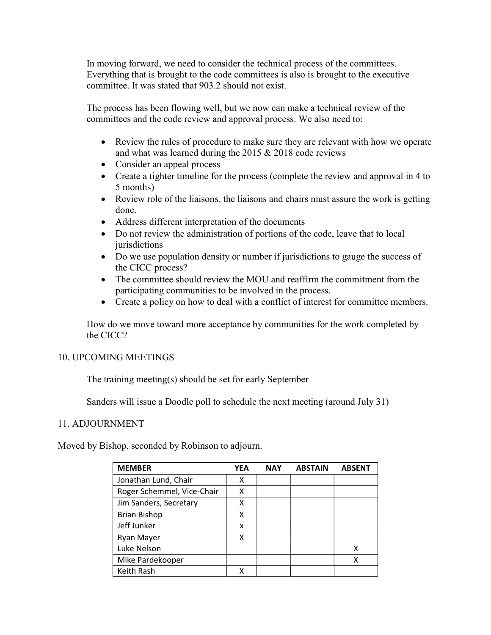In moving forward, we need to consider the technical process of the committees. Everything that is brought to the code committees is also is brought to the executive committee. It was stated that 903.2 should not exist.

The process has been flowing well, but we now can make a technical review of the committees and the code review and approval process. We also need to:

- Review the rules of procedure to make sure they are relevant with how we operate and what was learned during the 2015 & 2018 code reviews
- Consider an appeal process
- Create a tighter timeline for the process (complete the review and approval in 4 to 5 months)
- Review role of the liaisons, the liaisons and chairs must assure the work is getting done.
- Address different interpretation of the documents
- Do not review the administration of portions of the code, leave that to local jurisdictions
- Do we use population density or number if jurisdictions to gauge the success of the CICC process?
- The committee should review the MOU and reaffirm the commitment from the participating communities to be involved in the process.
- Create a policy on how to deal with a conflict of interest for committee members.

How do we move toward more acceptance by communities for the work completed by the CICC?

# 10. UPCOMING MEETINGS

The training meeting(s) should be set for early September

Sanders will issue a Doodle poll to schedule the next meeting (around July 31)

# 11. ADJOURNMENT

Moved by Bishop, seconded by Robinson to adjourn.

| <b>MEMBER</b>              | YEA | <b>NAY</b> | <b>ABSTAIN</b> | <b>ABSENT</b> |
|----------------------------|-----|------------|----------------|---------------|
| Jonathan Lund, Chair       | χ   |            |                |               |
| Roger Schemmel, Vice-Chair | x   |            |                |               |
| Jim Sanders, Secretary     | x   |            |                |               |
| <b>Brian Bishop</b>        | x   |            |                |               |
| Jeff Junker                | x   |            |                |               |
| Ryan Mayer                 | x   |            |                |               |
| Luke Nelson                |     |            |                |               |
| Mike Pardekooper           |     |            |                |               |
| Keith Rash                 |     |            |                |               |